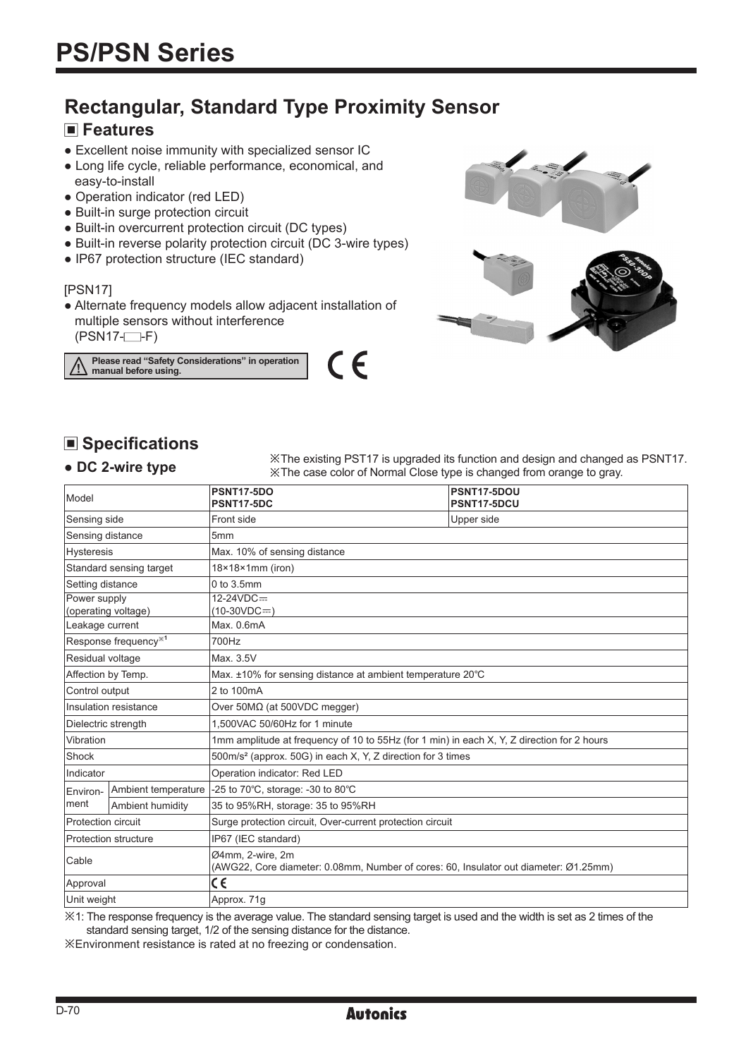# **Rectangular, Standard Type Proximity Sensor**

# **Features**

- Excellent noise immunity with specialized sensor IC
- Long life cycle, reliable performance, economical, and easy-to-install
- Operation indicator (red LED)
- Built-in surge protection circuit
- Built-in overcurrent protection circuit (DC types)
- Built-in reverse polarity protection circuit (DC 3-wire types)
- IP67 protection structure (IEC standard)

#### [PSN17]

● Alternate frequency models allow adjacent installation of multiple sensors without interference  $(PSN17 - F)$ 

**Please read "Safety Considerations" in operation manual before using.**





# **Specifications**

### **● DC 2-wire type**

※The existing PST17 is upgraded its function and design and changed as PSNT17. ※The case color of Normal Close type is changed from orange to gray.

| Model                       |                                  | <b>PSNT17-5DO</b><br><b>PSNT17-5DC</b>                                                                   | PSNT17-5DOU<br>PSNT17-5DCU |  |  |  |  |
|-----------------------------|----------------------------------|----------------------------------------------------------------------------------------------------------|----------------------------|--|--|--|--|
| Sensing side                |                                  | Front side                                                                                               | Upper side                 |  |  |  |  |
| Sensing distance            |                                  | 5mm                                                                                                      |                            |  |  |  |  |
| <b>Hysteresis</b>           |                                  | Max. 10% of sensing distance                                                                             |                            |  |  |  |  |
| Standard sensing target     |                                  | $18\times18\times1$ mm (iron)                                                                            |                            |  |  |  |  |
| Setting distance            |                                  | $0$ to $3.5$ mm                                                                                          |                            |  |  |  |  |
| Power supply                | (operating voltage)              | $12 - 24 VDC =$<br>$(10-30VDC=)$                                                                         |                            |  |  |  |  |
| Leakage current             |                                  | Max. 0.6mA                                                                                               |                            |  |  |  |  |
|                             | Response frequency <sup>*1</sup> | 700Hz                                                                                                    |                            |  |  |  |  |
| Residual voltage            |                                  | Max. 3.5V                                                                                                |                            |  |  |  |  |
| Affection by Temp.          |                                  | Max. ±10% for sensing distance at ambient temperature 20°C                                               |                            |  |  |  |  |
| Control output              |                                  | 2 to 100mA                                                                                               |                            |  |  |  |  |
| Insulation resistance       |                                  | Over $50M\Omega$ (at $500VDC$ megger)                                                                    |                            |  |  |  |  |
| Dielectric strength         |                                  | 1.500VAC 50/60Hz for 1 minute                                                                            |                            |  |  |  |  |
| Vibration                   |                                  | 1mm amplitude at frequency of 10 to 55Hz (for 1 min) in each X, Y, Z direction for 2 hours               |                            |  |  |  |  |
| Shock                       |                                  | 500m/s <sup>2</sup> (approx. 50G) in each X, Y, Z direction for 3 times                                  |                            |  |  |  |  |
| Indicator                   |                                  | Operation indicator: Red LED                                                                             |                            |  |  |  |  |
| Environ-                    | Ambient temperature              | -25 to 70°C, storage: -30 to 80°C                                                                        |                            |  |  |  |  |
| ment                        | Ambient humidity                 | 35 to 95%RH, storage: 35 to 95%RH                                                                        |                            |  |  |  |  |
| Protection circuit          |                                  | Surge protection circuit, Over-current protection circuit                                                |                            |  |  |  |  |
| <b>Protection structure</b> |                                  | IP67 (IEC standard)                                                                                      |                            |  |  |  |  |
| Cable                       |                                  | Ø4mm, 2-wire, 2m<br>(AWG22, Core diameter: 0.08mm, Number of cores: 60, Insulator out diameter: Ø1.25mm) |                            |  |  |  |  |
| Approval                    |                                  | CE                                                                                                       |                            |  |  |  |  |
| Unit weight                 |                                  | Approx. 71g                                                                                              |                            |  |  |  |  |

※1: The response frequency is the average value. The standard sensing target is used and the width is set as 2 times of the standard sensing target, 1/2 of the sensing distance for the distance.

※Environment resistance is rated at no freezing or condensation.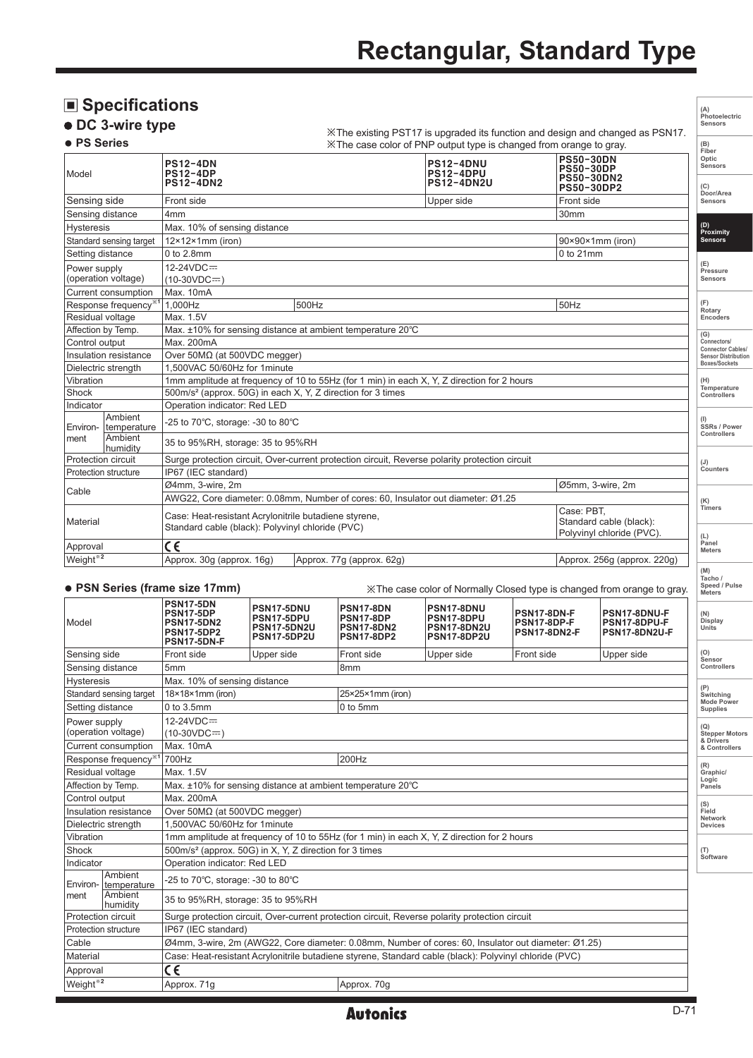# **Rectangular, Standard Type**

|                      | ■ Specifications                                   |                                                                                                                          |                                                               |                                                                           |                                                                                                |                                            |                                                                         |                                               | (A)                                         |
|----------------------|----------------------------------------------------|--------------------------------------------------------------------------------------------------------------------------|---------------------------------------------------------------|---------------------------------------------------------------------------|------------------------------------------------------------------------------------------------|--------------------------------------------|-------------------------------------------------------------------------|-----------------------------------------------|---------------------------------------------|
|                      | <b>DC 3-wire type</b>                              |                                                                                                                          |                                                               |                                                                           | X The existing PST17 is upgraded its function and design and changed as PSN17.                 |                                            |                                                                         |                                               | Photoelectric<br>Sensors                    |
| <b>• PS Series</b>   |                                                    |                                                                                                                          |                                                               |                                                                           | XX The case color of PNP output type is changed from orange to gray.                           |                                            |                                                                         |                                               | (B)<br>Fiber                                |
| Model                |                                                    | <b>PS12-4DN</b><br><b>PS12-4DP</b><br><b>PS12-4DN2</b>                                                                   |                                                               | <b>PS12-4DNU</b><br><b>PS12-4DPU</b><br><b>PS12-4DN2U</b>                 |                                                                                                |                                            | <b>PS50-30DN</b><br><b>PS50-30DP</b><br>PS50-30DN2<br><b>PS50-30DP2</b> |                                               | Optic<br>Sensors<br>(C)                     |
| Sensing side         |                                                    | Front side<br>Upper side                                                                                                 |                                                               |                                                                           |                                                                                                |                                            | Front side                                                              |                                               | Door/Area<br>Sensors                        |
| Sensing distance     |                                                    | 4 <sub>mm</sub>                                                                                                          |                                                               |                                                                           |                                                                                                |                                            | 30mm                                                                    |                                               |                                             |
| <b>Hysteresis</b>    |                                                    | Max. 10% of sensing distance                                                                                             |                                                               |                                                                           |                                                                                                |                                            |                                                                         |                                               | (D)<br>Proximity                            |
|                      | Standard sensing target                            | $12\times12\times1$ mm (iron)                                                                                            |                                                               |                                                                           |                                                                                                |                                            | 90×90×1mm (iron)                                                        |                                               | <b>Sensors</b>                              |
|                      | Setting distance                                   | 0 to 2.8mm                                                                                                               |                                                               |                                                                           |                                                                                                |                                            | 0 to 21mm                                                               |                                               |                                             |
| Power supply         | (operation voltage)                                | 12-24VDC=<br>$(10-30VDC = )$                                                                                             |                                                               |                                                                           |                                                                                                |                                            |                                                                         |                                               | (E)<br>Pressure<br>Sensors                  |
|                      | Current consumption                                | Max. 10mA                                                                                                                |                                                               |                                                                           |                                                                                                |                                            |                                                                         |                                               |                                             |
|                      | Response frequency <sup>*1</sup>                   | 1,000Hz                                                                                                                  | 500Hz                                                         |                                                                           |                                                                                                |                                            | 50Hz                                                                    |                                               | (F)<br>Rotary                               |
|                      | Residual voltage                                   | Max. 1.5V                                                                                                                |                                                               |                                                                           |                                                                                                |                                            |                                                                         |                                               | Encoders                                    |
|                      | Affection by Temp.                                 |                                                                                                                          |                                                               | Max. $\pm$ 10% for sensing distance at ambient temperature 20 $\degree$ C |                                                                                                |                                            |                                                                         |                                               | (G)                                         |
| Control output       |                                                    | Max. 200mA                                                                                                               |                                                               |                                                                           |                                                                                                |                                            |                                                                         |                                               | Connectors<br><b>Connector Cables</b>       |
|                      | Insulation resistance                              | Over $50M\Omega$ (at $500VDC$ megger)                                                                                    |                                                               |                                                                           |                                                                                                |                                            |                                                                         |                                               | <b>Sensor Distribution</b><br>Boxes/Sockets |
|                      | Dielectric strength                                | 1,500VAC 50/60Hz for 1minute                                                                                             |                                                               |                                                                           |                                                                                                |                                            |                                                                         |                                               |                                             |
| Vibration<br>Shock   |                                                    | 1mm amplitude at frequency of 10 to 55Hz (for 1 min) in each X, Y, Z direction for 2 hours                               |                                                               |                                                                           |                                                                                                |                                            |                                                                         |                                               | (H)<br>Temperature                          |
| Indicator            |                                                    | 500m/s <sup>2</sup> (approx. 50G) in each X, Y, Z direction for 3 times<br>Operation indicator: Red LED                  |                                                               |                                                                           |                                                                                                |                                            |                                                                         |                                               | Controllers                                 |
| Environ-             | Ambient<br>temperature                             | -25 to 70°C, storage: -30 to 80°C                                                                                        |                                                               |                                                                           |                                                                                                |                                            |                                                                         | SSRs / Power                                  |                                             |
| ment                 | Ambient<br>humidity                                | 35 to 95%RH, storage: 35 to 95%RH                                                                                        |                                                               |                                                                           |                                                                                                |                                            |                                                                         | Controllers                                   |                                             |
|                      | Protection circuit                                 |                                                                                                                          |                                                               |                                                                           | Surge protection circuit, Over-current protection circuit, Reverse polarity protection circuit |                                            |                                                                         |                                               | $(\mathsf{U})$<br>Counters                  |
|                      | Protection structure                               | IP67 (IEC standard)                                                                                                      |                                                               |                                                                           |                                                                                                |                                            |                                                                         |                                               |                                             |
| Cable                |                                                    | Ø4mm, 3-wire, 2m<br>Ø5mm, 3-wire, 2m<br>AWG22, Core diameter: 0.08mm, Number of cores: 60, Insulator out diameter: Ø1.25 |                                                               |                                                                           |                                                                                                |                                            |                                                                         |                                               |                                             |
| Material             |                                                    | Case: PBT,<br>Case: Heat-resistant Acrylonitrile butadiene styrene,<br>Standard cable (black): Polyvinyl chloride (PVC)  |                                                               |                                                                           |                                                                                                |                                            |                                                                         | Standard cable (black):                       | (K)<br><b>Timers</b>                        |
|                      |                                                    |                                                                                                                          |                                                               |                                                                           |                                                                                                |                                            |                                                                         | Polyvinyl chloride (PVC).                     | (L)<br>Panel                                |
| Approval             |                                                    | $\overline{\mathsf{c}\mathsf{\epsilon}}$                                                                                 |                                                               |                                                                           |                                                                                                |                                            |                                                                         |                                               | <b>Meters</b>                               |
| Weight <sup>*2</sup> |                                                    | Approx. 30g (approx. 16g)<br>Approx. 77g (approx. 62g)                                                                   |                                                               |                                                                           |                                                                                                |                                            | Approx. 256g (approx. 220g)                                             | (M)                                           |                                             |
|                      |                                                    | • PSN Series (frame size 17mm)                                                                                           |                                                               |                                                                           | X The case color of Normally Closed type is changed from orange to gray.                       |                                            |                                                                         |                                               | Tacho /<br>Speed / Pulse<br><b>Meters</b>   |
| Model                |                                                    | <b>PSN17-5DN</b><br>PSN17-5DP<br><b>PSN17-5DN2</b><br><b>PSN17-5DP2</b><br>PSN17-5DN-F                                   | PSN17-5DNU<br>PSN17-5DPU<br><b>PSN17-5DN2U</b><br>PSN17-5DP2U | <b>PSN17-8DN</b><br>PSN17-8DP<br><b>PSN17-8DN2</b><br><b>PSN17-8DP2</b>   | PSN17-8DNU<br>PSN17-8DPU<br><b>PSN17-8DN2U</b><br>PSN17-8DP2U                                  | PSN17-8DN-F<br>PSN17-8DP-F<br>PSN17-8DN2-F |                                                                         | PSN17-8DNU-F<br>PSN17-8DPU-F<br>PSN17-8DN2U-F | (N)<br>Display<br><b>Units</b>              |
| Sensing side         |                                                    | Front side                                                                                                               | Upper side                                                    | Front side                                                                | Upper side                                                                                     | Front side                                 |                                                                         | Upper side                                    | (O)<br>Sensor                               |
|                      | Sensing distance                                   | 5 <sub>mm</sub><br>8 <sub>mm</sub>                                                                                       |                                                               |                                                                           |                                                                                                |                                            |                                                                         |                                               | Controllers                                 |
| <b>Hysteresis</b>    |                                                    | Max. 10% of sensing distance                                                                                             |                                                               |                                                                           |                                                                                                |                                            |                                                                         |                                               |                                             |
|                      | Standard sensing target                            | $18 \times 18 \times 1$ mm (iron)<br>25×25×1mm (iron)                                                                    |                                                               |                                                                           |                                                                                                |                                            |                                                                         |                                               | Switching                                   |
|                      | Setting distance                                   | 0 to 5mm<br>0 to 3.5mm                                                                                                   |                                                               |                                                                           |                                                                                                |                                            |                                                                         |                                               | <b>Mode Power</b><br><b>Supplies</b>        |
| Power supply         |                                                    | 12-24VDC=                                                                                                                |                                                               |                                                                           |                                                                                                |                                            |                                                                         |                                               |                                             |
| (operation voltage)  |                                                    | $(10-30VDC=)$                                                                                                            |                                                               |                                                                           |                                                                                                |                                            |                                                                         |                                               | (Q)<br><b>Stepper Motors</b>                |
| Current consumption  |                                                    | Max. 10mA                                                                                                                |                                                               |                                                                           |                                                                                                |                                            |                                                                         | & Drivers<br>& Controllers                    |                                             |
|                      | Response frequency <sup>*1</sup><br>700Hz<br>200Hz |                                                                                                                          |                                                               |                                                                           |                                                                                                |                                            | (R)                                                                     |                                               |                                             |
| Residual voltage     |                                                    | Max. 1.5V                                                                                                                |                                                               |                                                                           |                                                                                                |                                            |                                                                         | Graphic/                                      |                                             |
| Affection by Temp.   |                                                    | Max. ±10% for sensing distance at ambient temperature 20°C                                                               |                                                               |                                                                           |                                                                                                |                                            |                                                                         | Logic<br>Panels                               |                                             |
| Control output       |                                                    | Max. 200mA                                                                                                               |                                                               |                                                                           |                                                                                                |                                            |                                                                         |                                               |                                             |
|                      | Insulation resistance                              | Over 50MΩ (at 500VDC megger)                                                                                             |                                                               |                                                                           |                                                                                                |                                            |                                                                         | (S)<br>Field                                  |                                             |
|                      | Dielectric strength                                | 1.500VAC 50/60Hz for 1minute                                                                                             |                                                               |                                                                           |                                                                                                |                                            | Network<br>Devices                                                      |                                               |                                             |
| Vibration            |                                                    | 1mm amplitude at frequency of 10 to 55Hz (for 1 min) in each X, Y, Z direction for 2 hours                               |                                                               |                                                                           |                                                                                                |                                            |                                                                         |                                               |                                             |
| Shock                |                                                    | 500m/s <sup>2</sup> (approx. 50G) in X, Y, Z direction for 3 times<br>(T)                                                |                                                               |                                                                           |                                                                                                |                                            |                                                                         |                                               |                                             |

**(T) Software**

**Autonics** 

Ø4mm, 3-wire, 2m (AWG22, Core diameter: 0.08mm, Number of cores: 60, Insulator out diameter: Ø1.25)

Surge protection circuit, Over-current protection circuit, Reverse polarity protection circuit

Material Case: Heat-resistant Acrylonitrile butadiene styrene, Standard cable (black): Polyvinyl chloride (PVC)

Indicator Operation indicator: Red LED

Protection structure IP67 (IEC standard)<br>Cable Ø4mm, 3-wire, 2m (

 $\overline{C}$ 

ment Ambient 35 to 95%RH, storage: 35 to 95%RH<br>Protection circuit Surge protection circuit, Over-current

-25 to 70℃, storage: -30 to 80℃

Weight<sup>\*2</sup> Approx. 71g Approx. 71g Approx. 70g

Environment

Approval

Ambient<br>temperature

Ambient<br>humidity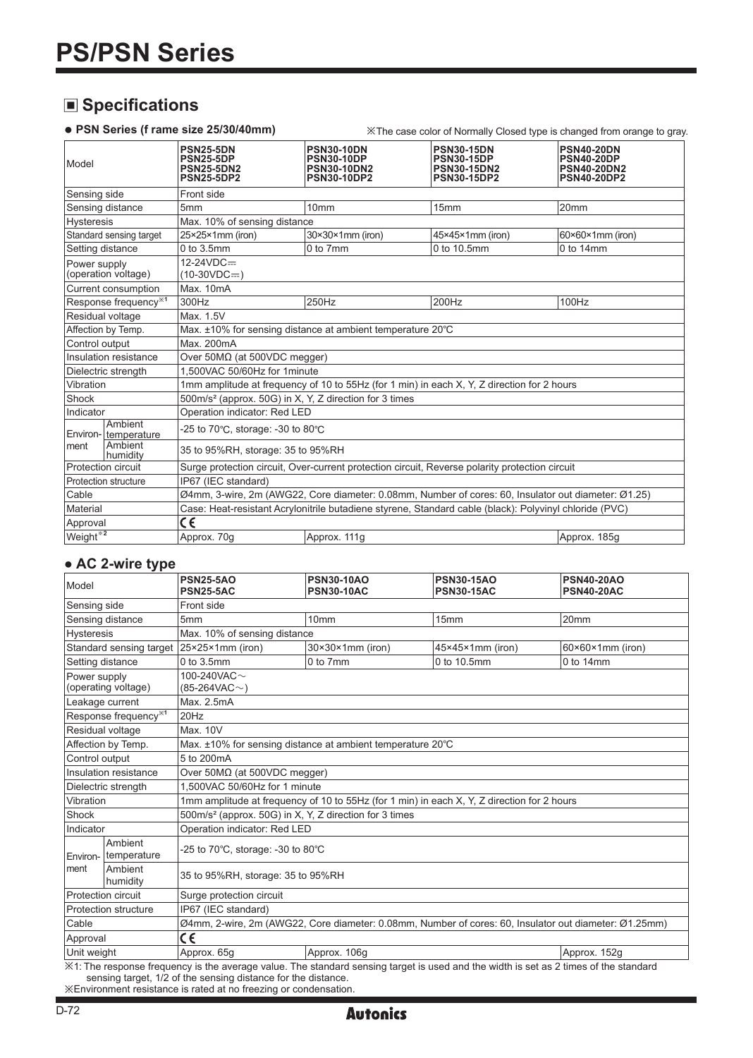# **Specifications**

**● PSN Series (f rame size 25/30/40mm)** ※The case color of Normally Closed type is changed from orange to gray.

| Model                                                                    | <b>PSN25-5DN</b><br><b>PSN25-5DP</b><br><b>PSN25-5DN2</b><br><b>PSN25-5DP2</b>                         | <b>PSN30-10DN</b><br><b>PSN30-10DP</b><br><b>PSN30-10DN2</b><br><b>PSN30-10DP2</b> | <b>PSN30-15DN</b><br><b>PSN30-15DP</b><br><b>PSN30-15DN2</b><br><b>PSN30-15DP2</b> | <b>PSN40-20DN</b><br><b>PSN40-20DP</b><br><b>PSN40-20DN2</b><br><b>PSN40-20DP2</b> |  |  |  |  |
|--------------------------------------------------------------------------|--------------------------------------------------------------------------------------------------------|------------------------------------------------------------------------------------|------------------------------------------------------------------------------------|------------------------------------------------------------------------------------|--|--|--|--|
| Sensing side                                                             | Front side                                                                                             |                                                                                    |                                                                                    |                                                                                    |  |  |  |  |
| Sensing distance                                                         | 5mm                                                                                                    | 10 <sub>mm</sub>                                                                   | 15mm                                                                               | 20 <sub>mm</sub>                                                                   |  |  |  |  |
| <b>Hysteresis</b>                                                        |                                                                                                        | Max. 10% of sensing distance                                                       |                                                                                    |                                                                                    |  |  |  |  |
| Standard sensing target                                                  | 25×25×1mm (iron)                                                                                       | $30\times30\times1$ mm (iron)                                                      | 45×45×1mm (iron)                                                                   | $60 \times 60 \times 1$ mm (iron)                                                  |  |  |  |  |
| Setting distance                                                         | $0$ to $3.5$ mm                                                                                        | $0$ to $7mm$                                                                       | 0 to 10.5mm                                                                        | $0$ to 14mm                                                                        |  |  |  |  |
| Power supply<br>(operation voltage)                                      | $12-24VDC =$<br>$(10-30VDC=)$                                                                          |                                                                                    |                                                                                    |                                                                                    |  |  |  |  |
| Current consumption                                                      | Max. 10mA                                                                                              |                                                                                    |                                                                                    |                                                                                    |  |  |  |  |
| Response frequency <sup>*1</sup>                                         | 300Hz                                                                                                  | 250Hz                                                                              | 200Hz                                                                              | 100Hz                                                                              |  |  |  |  |
| Residual voltage                                                         | Max. 1.5V                                                                                              |                                                                                    |                                                                                    |                                                                                    |  |  |  |  |
| Affection by Temp.                                                       | Max. ±10% for sensing distance at ambient temperature 20°C                                             |                                                                                    |                                                                                    |                                                                                    |  |  |  |  |
| Control output                                                           | Max. 200mA                                                                                             |                                                                                    |                                                                                    |                                                                                    |  |  |  |  |
| Insulation resistance                                                    | Over 50MΩ (at 500VDC megger)                                                                           |                                                                                    |                                                                                    |                                                                                    |  |  |  |  |
| Dielectric strength                                                      | 1.500VAC 50/60Hz for 1minute                                                                           |                                                                                    |                                                                                    |                                                                                    |  |  |  |  |
| Vibration                                                                | 1mm amplitude at frequency of 10 to 55Hz (for 1 min) in each X, Y, Z direction for 2 hours             |                                                                                    |                                                                                    |                                                                                    |  |  |  |  |
| Shock                                                                    | 500m/s <sup>2</sup> (approx. 50G) in X, Y, Z direction for 3 times                                     |                                                                                    |                                                                                    |                                                                                    |  |  |  |  |
| Indicator                                                                | Operation indicator: Red LED                                                                           |                                                                                    |                                                                                    |                                                                                    |  |  |  |  |
| Ambient<br>Environ- temperature                                          | -25 to 70 $\degree$ C, storage: -30 to 80 $\degree$ C                                                  |                                                                                    |                                                                                    |                                                                                    |  |  |  |  |
| Ambient<br>Iment<br>35 to 95%RH, storage: 35 to 95%RH<br><b>humidity</b> |                                                                                                        |                                                                                    |                                                                                    |                                                                                    |  |  |  |  |
| Protection circuit                                                       | Surge protection circuit, Over-current protection circuit, Reverse polarity protection circuit         |                                                                                    |                                                                                    |                                                                                    |  |  |  |  |
| Protection structure                                                     | IP67 (IEC standard)                                                                                    |                                                                                    |                                                                                    |                                                                                    |  |  |  |  |
| Cable                                                                    | Ø4mm, 3-wire, 2m (AWG22, Core diameter: 0.08mm, Number of cores: 60, Insulator out diameter: Ø1.25)    |                                                                                    |                                                                                    |                                                                                    |  |  |  |  |
| Material                                                                 | Case: Heat-resistant Acrylonitrile butadiene styrene, Standard cable (black): Polyvinyl chloride (PVC) |                                                                                    |                                                                                    |                                                                                    |  |  |  |  |
| Approval                                                                 | $\overline{\mathsf{c}\epsilon}$                                                                        |                                                                                    |                                                                                    |                                                                                    |  |  |  |  |
| Weight <sup>*2</sup>                                                     | Approx. 70g                                                                                            | Approx. 111q                                                                       |                                                                                    | Approx. 185g                                                                       |  |  |  |  |

#### **● AC 2-wire type**

| Model                |                                  | <b>PSN25-5AO</b><br><b>PSN25-5AC</b>                                                                                                 | <b>PSN30-10AO</b><br><b>PSN30-10AC</b> | <b>PSN30-15AO</b><br><b>PSN30-15AC</b> | <b>PSN40-20AO</b><br><b>PSN40-20AC</b> |  |  |  |
|----------------------|----------------------------------|--------------------------------------------------------------------------------------------------------------------------------------|----------------------------------------|----------------------------------------|----------------------------------------|--|--|--|
| Sensing side         |                                  | Front side                                                                                                                           |                                        |                                        |                                        |  |  |  |
|                      | Sensing distance                 | 5 <sub>mm</sub>                                                                                                                      | 10 <sub>mm</sub>                       | 15mm                                   | 20mm                                   |  |  |  |
| <b>Hysteresis</b>    |                                  | Max. 10% of sensing distance                                                                                                         |                                        |                                        |                                        |  |  |  |
|                      | Standard sensing target          | $ 25\times25\times1$ mm (iron)                                                                                                       | $30\times30\times1$ mm (iron)          | 45×45×1mm (iron)                       | $60 \times 60 \times 1$ mm (iron)      |  |  |  |
| Setting distance     |                                  | $0$ to $3.5$ mm                                                                                                                      | 0 to 7mm                               | 0 to 10.5mm                            | $0$ to 14mm                            |  |  |  |
| Power supply         | (operating voltage)              | 100-240VAC $\sim$<br>$(85-264VAC-)$                                                                                                  |                                        |                                        |                                        |  |  |  |
| Leakage current      |                                  | Max. 2.5mA                                                                                                                           |                                        |                                        |                                        |  |  |  |
|                      | Response frequency <sup>*1</sup> | $20$ Hz                                                                                                                              |                                        |                                        |                                        |  |  |  |
| Residual voltage     |                                  | Max. 10V                                                                                                                             |                                        |                                        |                                        |  |  |  |
|                      | Affection by Temp.               | Max. ±10% for sensing distance at ambient temperature 20°C                                                                           |                                        |                                        |                                        |  |  |  |
| Control output       |                                  | 5 to 200mA                                                                                                                           |                                        |                                        |                                        |  |  |  |
|                      | Insulation resistance            | Over $50M\Omega$ (at $500VDC$ megger)                                                                                                |                                        |                                        |                                        |  |  |  |
|                      | Dielectric strength              | 1.500VAC 50/60Hz for 1 minute                                                                                                        |                                        |                                        |                                        |  |  |  |
| Vibration            |                                  | 1mm amplitude at frequency of 10 to 55Hz (for 1 min) in each X, Y, Z direction for 2 hours                                           |                                        |                                        |                                        |  |  |  |
| Shock                |                                  | 500m/s <sup>2</sup> (approx. 50G) in X, Y, Z direction for 3 times                                                                   |                                        |                                        |                                        |  |  |  |
| Indicator            |                                  | Operation indicator: Red LED                                                                                                         |                                        |                                        |                                        |  |  |  |
| Environ-<br>Iment    | Ambient<br>temperature           | -25 to 70°C, storage: -30 to 80°C                                                                                                    |                                        |                                        |                                        |  |  |  |
|                      | Ambient<br>humidity              | 35 to 95%RH, storage: 35 to 95%RH                                                                                                    |                                        |                                        |                                        |  |  |  |
| Protection circuit   |                                  | Surge protection circuit                                                                                                             |                                        |                                        |                                        |  |  |  |
| Protection structure |                                  | IP67 (IEC standard)                                                                                                                  |                                        |                                        |                                        |  |  |  |
| Cable                |                                  | Ø4mm, 2-wire, 2m (AWG22, Core diameter: 0.08mm, Number of cores: 60, Insulator out diameter: Ø1.25mm)                                |                                        |                                        |                                        |  |  |  |
| Approval             |                                  | C€                                                                                                                                   |                                        |                                        |                                        |  |  |  |
| Unit weight          |                                  | Approx, 65g                                                                                                                          | Approx. 106g                           |                                        | Approx. 152g                           |  |  |  |
|                      |                                  | X1: The response frequency is the average value. The standard sensing target is used and the width is set as 2 times of the standard |                                        |                                        |                                        |  |  |  |

sensing target, 1/2 of the sensing distance for the distance. ※Environment resistance is rated at no freezing or condensation.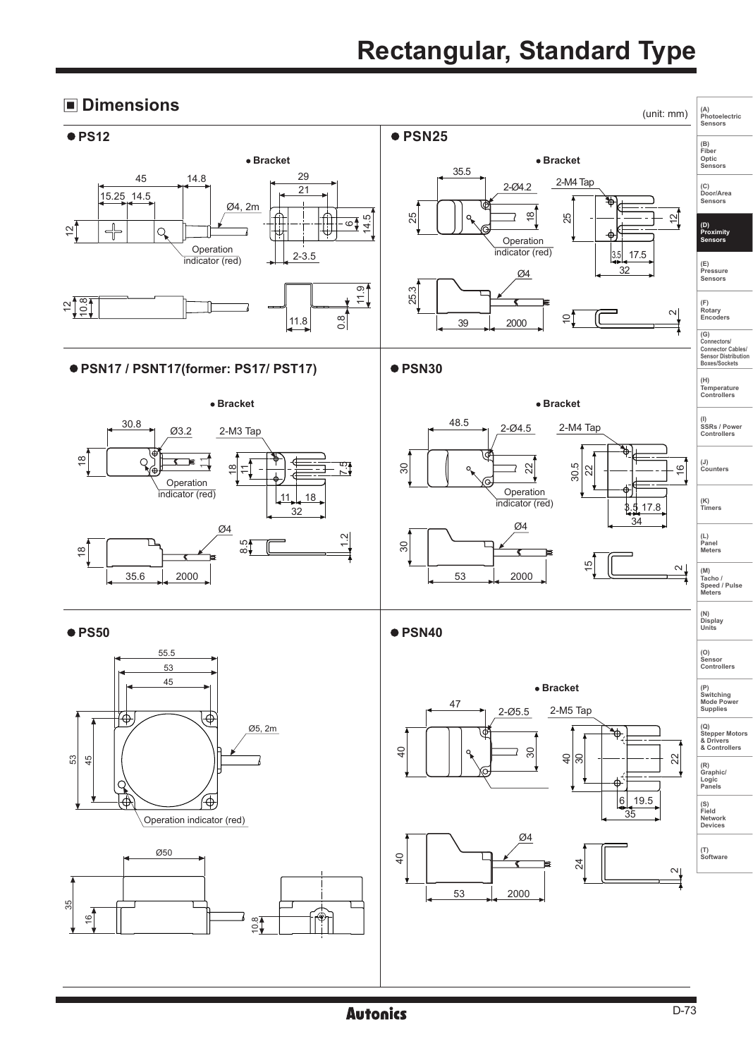# **Rectangular, Standard Type**

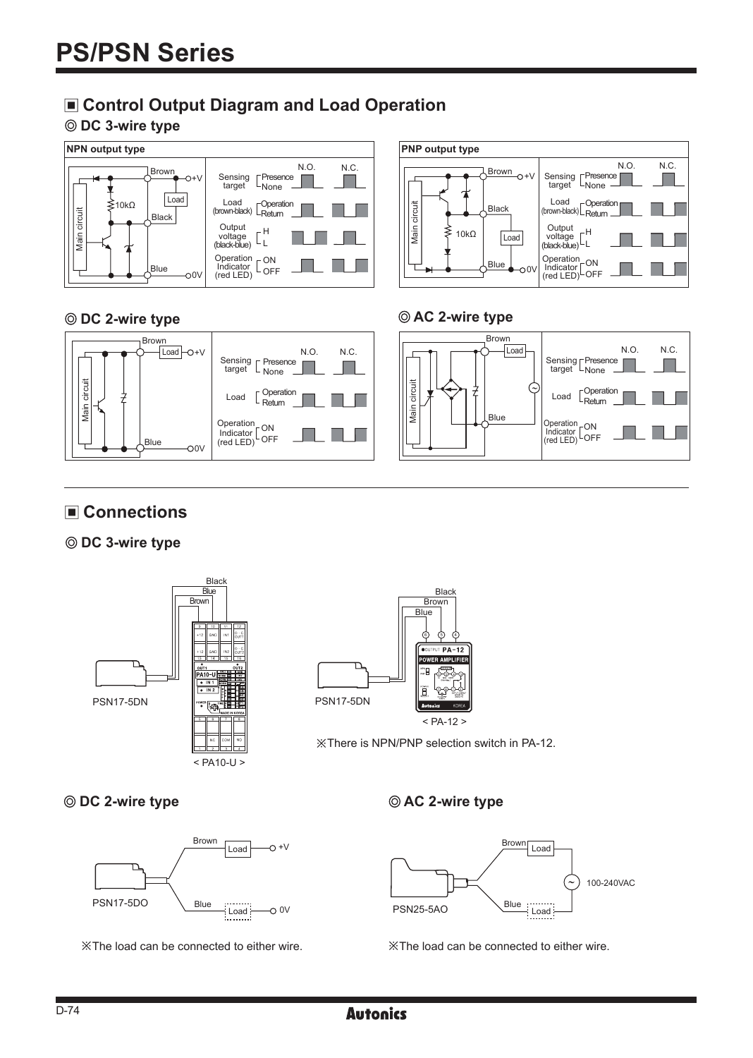# **Control Output Diagram and Load Operation**

### **DC 3-wire type**



## **© DC 2-wire type AC 2-wire type**



# ■ Connections

## **DC 3-wire type**



 $<$  PA10-U  $>$ 







※There is NPN/PNP selection switch in PA-12.



※The load can be connected to either wire. ※The load can be connected to either wire.